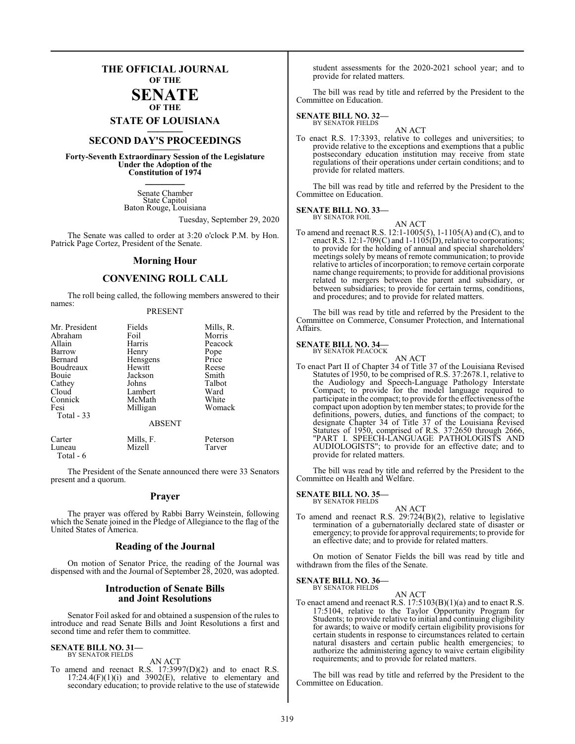## **THE OFFICIAL JOURNAL OF THE SENATE**

## **OF THE**

**STATE OF LOUISIANA \_\_\_\_\_\_\_**

## **SECOND DAY'S PROCEEDINGS \_\_\_\_\_\_\_**

**Forty-Seventh Extraordinary Session of the Legislature Under the Adoption of the Constitution of 1974 \_\_\_\_\_\_\_**

> Senate Chamber State Capitol Baton Rouge, Louisiana

> > Tuesday, September 29, 2020

The Senate was called to order at 3:20 o'clock P.M. by Hon. Patrick Page Cortez, President of the Senate.

#### **Morning Hour**

### **CONVENING ROLL CALL**

The roll being called, the following members answered to their names:

#### PRESENT

| Mr. President<br>Abraham<br>Allain<br>Barrow<br>Bernard<br>Boudreaux<br>Bouie<br>Cathey<br>Cloud<br>Connick<br>Fesi<br>Total - 33 | Fields<br>Foil<br>Harris<br>Henry<br>Hensgens<br>Hewitt<br>Jackson<br>Johns<br>Lambert<br>McMath<br>Milligan<br><b>ABSENT</b> | Mills, R.<br>Morris<br>Peacock<br>Pope<br>Price<br>Reese<br>Smith<br>Talbot<br>Ward<br>White<br>Womack |
|-----------------------------------------------------------------------------------------------------------------------------------|-------------------------------------------------------------------------------------------------------------------------------|--------------------------------------------------------------------------------------------------------|
| Carter                                                                                                                            | Mills, F.                                                                                                                     | Peterson                                                                                               |

Luneau Mizell Tarver

The President of the Senate announced there were 33 Senators present and a quorum.

#### **Prayer**

The prayer was offered by Rabbi Barry Weinstein, following which the Senate joined in the Pledge of Allegiance to the flag of the United States of America.

#### **Reading of the Journal**

On motion of Senator Price, the reading of the Journal was dispensed with and the Journal of September 28, 2020, was adopted.

#### **Introduction of Senate Bills and Joint Resolutions**

Senator Foil asked for and obtained a suspension of the rules to introduce and read Senate Bills and Joint Resolutions a first and second time and refer them to committee.

#### **SENATE BILL NO. 31—** BY SENATOR FIELDS

Total - 6

AN ACT

To amend and reenact R.S. 17:3997(D)(2) and to enact R.S.  $17:24.4(F)(1)(i)$  and  $3902(E)$ , relative to elementary and secondary education; to provide relative to the use of statewide

student assessments for the 2020-2021 school year; and to provide for related matters.

The bill was read by title and referred by the President to the Committee on Education.

#### **SENATE BILL NO. 32—** BY SENATOR FIELDS

AN ACT

To enact R.S. 17:3393, relative to colleges and universities; to provide relative to the exceptions and exemptions that a public postsecondary education institution may receive from state regulations of their operations under certain conditions; and to provide for related matters.

The bill was read by title and referred by the President to the Committee on Education.

#### **SENATE BILL NO. 33—** BY SENATOR FOIL

AN ACT

To amend and reenact R.S. 12:1-1005(5), 1-1105(A) and (C), and to enact R.S. 12:1-709(C) and 1-1105(D), relative to corporations; to provide for the holding of annual and special shareholders' meetings solely by means of remote communication; to provide relative to articles of incorporation; to remove certain corporate name change requirements; to provide for additional provisions related to mergers between the parent and subsidiary, or between subsidiaries; to provide for certain terms, conditions, and procedures; and to provide for related matters.

The bill was read by title and referred by the President to the Committee on Commerce, Consumer Protection, and International Affairs.

#### **SENATE BILL NO. 34—** BY SENATOR PEACOCK

AN ACT

To enact Part II of Chapter 34 of Title 37 of the Louisiana Revised Statutes of 1950, to be comprised of R.S. 37:2678.1, relative to the Audiology and Speech-Language Pathology Interstate Compact; to provide for the model language required to participate in the compact; to provide for the effectiveness ofthe compact upon adoption by ten member states; to provide for the definitions, powers, duties, and functions of the compact; to designate Chapter 34 of Title 37 of the Louisiana Revised Statutes of 1950, comprised of R.S. 37:2650 through 2666, "PART I. SPEECH-LANGUAGE PATHOLOGISTS AND AUDIOLOGISTS"; to provide for an effective date; and to provide for related matters.

The bill was read by title and referred by the President to the Committee on Health and Welfare.

#### **SENATE BILL NO. 35—**

BY SENATOR FIELDS

AN ACT To amend and reenact R.S. 29:724(B)(2), relative to legislative termination of a gubernatorially declared state of disaster or emergency; to provide for approval requirements; to provide for an effective date; and to provide for related matters.

On motion of Senator Fields the bill was read by title and withdrawn from the files of the Senate.

#### **SENATE BILL NO. 36—** BY SENATOR FIELDS

AN ACT

To enact amend and reenact R.S.  $17:5103(B)(1)(a)$  and to enact R.S. 17:5104, relative to the Taylor Opportunity Program for Students; to provide relative to initial and continuing eligibility for awards; to waive or modify certain eligibility provisions for certain students in response to circumstances related to certain natural disasters and certain public health emergencies; to authorize the administering agency to waive certain eligibility requirements; and to provide for related matters.

The bill was read by title and referred by the President to the Committee on Education.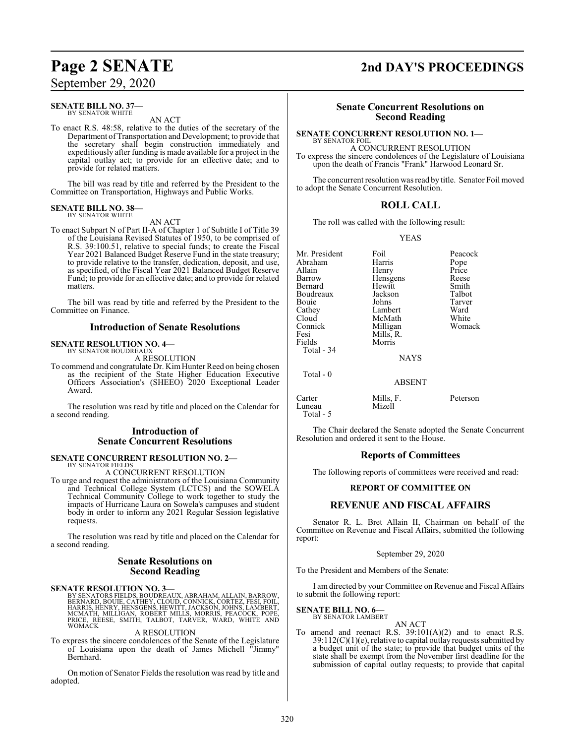September 29, 2020

#### **SENATE BILL NO. 37—** BY SENATOR WHITE

AN ACT

To enact R.S. 48:58, relative to the duties of the secretary of the Department of Transportation and Development; to provide that the secretary shall begin construction immediately and expeditiously after funding is made available for a project in the capital outlay act; to provide for an effective date; and to provide for related matters.

The bill was read by title and referred by the President to the Committee on Transportation, Highways and Public Works.

#### **SENATE BILL NO. 38—** BY SENATOR WHITE

AN ACT

To enact Subpart N of Part II-A of Chapter 1 of Subtitle I of Title 39 of the Louisiana Revised Statutes of 1950, to be comprised of R.S. 39:100.51, relative to special funds; to create the Fiscal Year 2021 Balanced Budget Reserve Fund in the state treasury; to provide relative to the transfer, dedication, deposit, and use, as specified, of the Fiscal Year 2021 Balanced Budget Reserve Fund; to provide for an effective date; and to provide for related matters.

The bill was read by title and referred by the President to the Committee on Finance.

#### **Introduction of Senate Resolutions**

#### **SENATE RESOLUTION NO. 4—** BY SENATOR BOUDREAUX

A RESOLUTION

To commend and congratulate Dr. KimHunter Reed on being chosen as the recipient of the State Higher Education Executive Officers Association's (SHEEO) 2020 Exceptional Leader Award.

The resolution was read by title and placed on the Calendar for a second reading.

#### **Introduction of Senate Concurrent Resolutions**

## **SENATE CONCURRENT RESOLUTION NO. 2—**

BY SENATOR FIELDS A CONCURRENT RESOLUTION

To urge and request the administrators of the Louisiana Community and Technical College System (LCTCS) and the SOWELA Technical Community College to work together to study the impacts of Hurricane Laura on Sowela's campuses and student body in order to inform any 2021 Regular Session legislative requests.

The resolution was read by title and placed on the Calendar for a second reading.

#### **Senate Resolutions on Second Reading**

**SENATE RESOLUTION NO. 3—** BY SENATORS FIELDS, BOUDREAUX, ABRAHAM, ALLAIN, BARROW, BERNARD, BOUIE, CATHEY, CLOUD, CONNICK, CORTEZ, FESI, FOIL,<br>HARRIS, HENRY, HENSGENS, HEWITT, JACKSON, JOHNS, LAMBERT,<br>MCMATH, MILLIGAN, ROBERT MILLS, MORRIS, PEACOCK, POPE, PRICE, REESE, SMITH, TALBOT, TARVER, WARD, WHITE AND WOMACK

#### A RESOLUTION

To express the sincere condolences of the Senate of the Legislature of Louisiana upon the death of James Michell "Jimmy" Bernhard.

On motion of Senator Fields the resolution was read by title and adopted.

# **Page 2 SENATE 2nd DAY'S PROCEEDINGS**

#### **Senate Concurrent Resolutions on Second Reading**

#### **SENATE CONCURRENT RESOLUTION NO. 1—**

BY SENATOR FOIL A CONCURRENT RESOLUTION To express the sincere condolences of the Legislature of Louisiana upon the death of Francis "Frank" Harwood Leonard Sr.

The concurrent resolution was read by title. Senator Foil moved to adopt the Senate Concurrent Resolution.

#### **ROLL CALL**

The roll was called with the following result:

YEAS

| Mr. President<br>Abraham | Foil<br>Harris      | Peacock<br>Pope |
|--------------------------|---------------------|-----------------|
| Allain                   | Henry               | Price           |
| Barrow                   | Hensgens            | Reese           |
| Bernard                  | Hewitt              | Smith           |
| Boudreaux                | Jackson             | Talbot          |
| Bouie                    | Johns               | Tarver          |
| Cathey                   | Lambert             | Ward            |
| Cloud                    | McMath              | White           |
| Connick                  | Milligan            | Womack          |
| Fesi                     | Mills, R.           |                 |
| Fields                   | Morris              |                 |
| Total - 34               |                     |                 |
|                          | <b>NAYS</b>         |                 |
| Total - 0                |                     |                 |
|                          | <b>ABSENT</b>       |                 |
| Carter<br>Luneau         | Mills, F.<br>Mizell | Peterson        |

The Chair declared the Senate adopted the Senate Concurrent Resolution and ordered it sent to the House.

#### **Reports of Committees**

The following reports of committees were received and read:

#### **REPORT OF COMMITTEE ON**

#### **REVENUE AND FISCAL AFFAIRS**

Senator R. L. Bret Allain II, Chairman on behalf of the Committee on Revenue and Fiscal Affairs, submitted the following report:

#### September 29, 2020

To the President and Members of the Senate:

I am directed by your Committee on Revenue and Fiscal Affairs to submit the following report:

#### **SENATE BILL NO. 6—** BY SENATOR LAMBERT

Luneau Total - 5

AN ACT

To amend and reenact R.S.  $39:101(A)(2)$  and to enact R.S. 39:112(C)(1)(e), relative to capital outlay requests submitted by a budget unit of the state; to provide that budget units of the state shall be exempt from the November first deadline for the submission of capital outlay requests; to provide that capital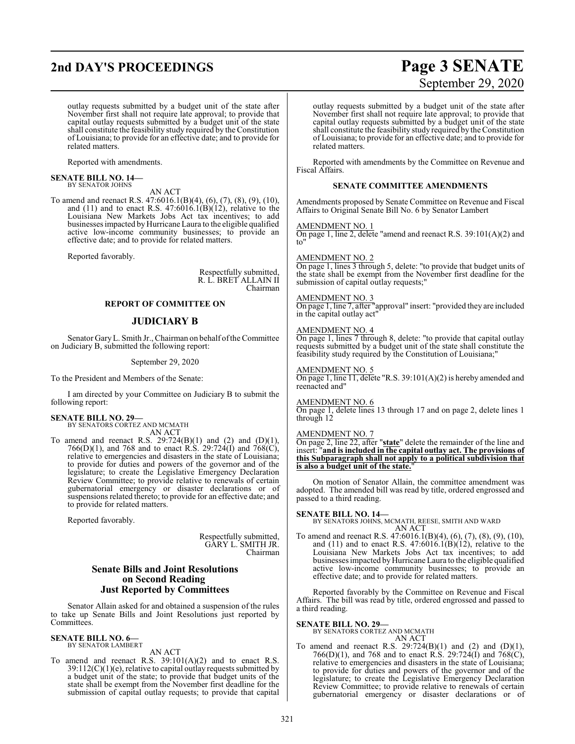## **2nd DAY'S PROCEEDINGS Page 3 SENATE**

outlay requests submitted by a budget unit of the state after November first shall not require late approval; to provide that capital outlay requests submitted by a budget unit of the state shall constitute the feasibility study required by the Constitution of Louisiana; to provide for an effective date; and to provide for related matters.

Reported with amendments.

#### **SENATE BILL NO. 14—** BY SENATOR JOHNS

AN ACT

To amend and reenact R.S. 47:6016.1(B)(4), (6), (7), (8), (9), (10), and  $(11)$  and to enact R.S.  $47:6016.1(B)(12)$ , relative to the Louisiana New Markets Jobs Act tax incentives; to add businesses impacted by Hurricane Laura to the eligible qualified active low-income community businesses; to provide an effective date; and to provide for related matters.

Reported favorably.

Respectfully submitted, R. L. BRET ALLAIN II Chairman

#### **REPORT OF COMMITTEE ON**

#### **JUDICIARY B**

Senator GaryL. Smith Jr., Chairman on behalf ofthe Committee on Judiciary B, submitted the following report:

#### September 29, 2020

To the President and Members of the Senate:

I am directed by your Committee on Judiciary B to submit the following report:

#### **SENATE BILL NO. 29—** BY SENATORS CORTEZ AND MCMATH

AN ACT

To amend and reenact R.S.  $29:724(B)(1)$  and  $(2)$  and  $(D)(1)$ , 766(D)(1), and 768 and to enact R.S. 29:724(I) and 768(C), relative to emergencies and disasters in the state of Louisiana; to provide for duties and powers of the governor and of the legislature; to create the Legislative Emergency Declaration Review Committee; to provide relative to renewals of certain gubernatorial emergency or disaster declarations or of suspensions related thereto; to provide for an effective date; and to provide for related matters.

Reported favorably.

Respectfully submitted, GARY L. SMITH JR. Chairman

#### **Senate Bills and Joint Resolutions on Second Reading Just Reported by Committees**

Senator Allain asked for and obtained a suspension of the rules to take up Senate Bills and Joint Resolutions just reported by Committees.

#### **SENATE BILL NO. 6—** BY SENATOR LAMBERT

#### AN ACT

To amend and reenact R.S.  $39:101(A)(2)$  and to enact R.S. 39:112(C)(1)(e), relative to capital outlay requests submitted by a budget unit of the state; to provide that budget units of the state shall be exempt from the November first deadline for the submission of capital outlay requests; to provide that capital

# September 29, 2020

outlay requests submitted by a budget unit of the state after November first shall not require late approval; to provide that capital outlay requests submitted by a budget unit of the state shall constitute the feasibility study required by the Constitution of Louisiana; to provide for an effective date; and to provide for related matters.

Reported with amendments by the Committee on Revenue and Fiscal Affairs.

#### **SENATE COMMITTEE AMENDMENTS**

Amendments proposed by Senate Committee on Revenue and Fiscal Affairs to Original Senate Bill No. 6 by Senator Lambert

#### AMENDMENT NO. 1

On page 1, line 2, delete "amend and reenact R.S. 39:101(A)(2) and to"

#### AMENDMENT NO. 2

On page 1, lines 3 through 5, delete: "to provide that budget units of the state shall be exempt from the November first deadline for the submission of capital outlay requests;"

#### AMENDMENT NO. 3

On page 1, line 7, after "approval" insert: "provided they are included in the capital outlay act"

#### AMENDMENT NO. 4

On page 1, lines 7 through 8, delete: "to provide that capital outlay requests submitted by a budget unit of the state shall constitute the feasibility study required by the Constitution of Louisiana;"

#### AMENDMENT NO. 5

On page 1, line 11, delete "R.S. 39:101(A)(2) is hereby amended and reenacted and"

#### AMENDMENT NO. 6

On page 1, delete lines 13 through 17 and on page 2, delete lines 1 through 12

#### AMENDMENT NO. 7

On page 2, line 22, after "**state**" delete the remainder of the line and insert: "**and is included in the capital outlay act. The provisions of this Subparagraph shall not apply to a political subdivision that is also a budget unit of the state.**"

On motion of Senator Allain, the committee amendment was adopted. The amended bill was read by title, ordered engrossed and passed to a third reading.

**SENATE BILL NO. 14—** BY SENATORS JOHNS, MCMATH, REESE, SMITH AND WARD AN ACT

To amend and reenact R.S. 47:6016.1(B)(4), (6), (7), (8), (9), (10), and  $(11)$  and to enact R.S. 47:6016.1(B) $(12)$ , relative to the Louisiana New Markets Jobs Act tax incentives; to add businesses impacted byHurricane Laura to the eligible qualified active low-income community businesses; to provide an effective date; and to provide for related matters.

Reported favorably by the Committee on Revenue and Fiscal Affairs. The bill was read by title, ordered engrossed and passed to a third reading.

#### **SENATE BILL NO. 29—**

## BY SENATORS CORTEZ AND MCMATH

AN ACT To amend and reenact R.S.  $29:724(B)(1)$  and  $(2)$  and  $(D)(1)$ , 766(D)(1), and 768 and to enact R.S. 29:724(I) and 768(C), relative to emergencies and disasters in the state of Louisiana; to provide for duties and powers of the governor and of the legislature; to create the Legislative Emergency Declaration Review Committee; to provide relative to renewals of certain gubernatorial emergency or disaster declarations or of